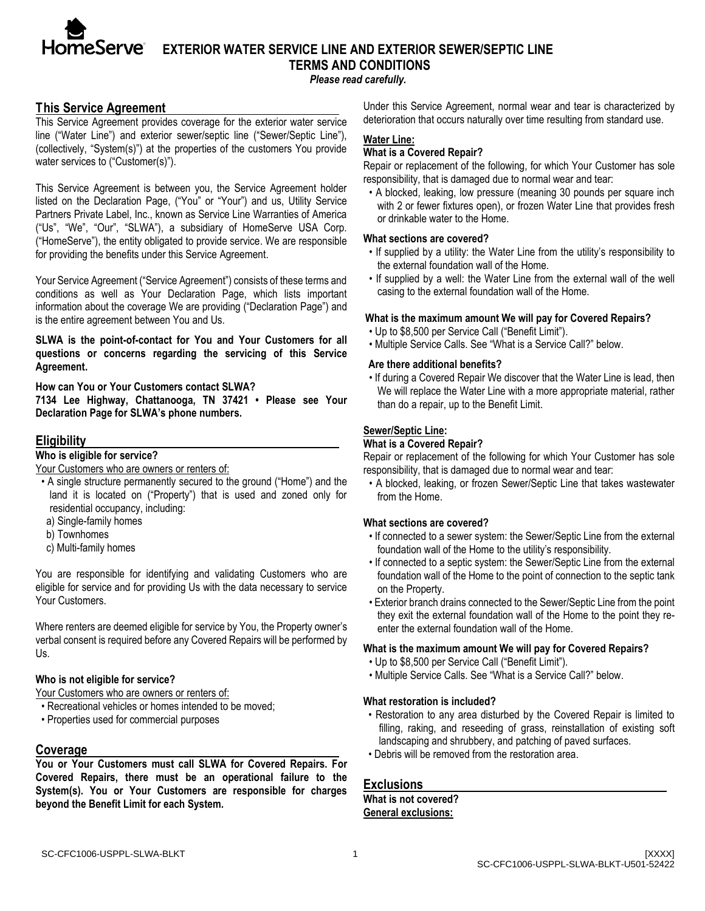

# **TESERVE** EXTERIOR WATER SERVICE LINE AND EXTERIOR SEWER/SEPTIC LINE **TERMS AND CONDITIONS**

*Please read carefully.*

## **This Service Agreement**

This Service Agreement provides coverage for the exterior water service line ("Water Line") and exterior sewer/septic line ("Sewer/Septic Line"), (collectively, "System(s)") at the properties of the customers You provide water services to ("Customer(s)").

This Service Agreement is between you, the Service Agreement holder listed on the Declaration Page, ("You" or "Your") and us, Utility Service Partners Private Label, Inc., known as Service Line Warranties of America ("Us", "We", "Our", "SLWA"), a subsidiary of HomeServe USA Corp. ("HomeServe"), the entity obligated to provide service. We are responsible for providing the benefits under this Service Agreement.

Your Service Agreement ("Service Agreement") consists of these terms and conditions as well as Your Declaration Page, which lists important information about the coverage We are providing ("Declaration Page") and is the entire agreement between You and Us.

**SLWA is the point-of-contact for You and Your Customers for all questions or concerns regarding the servicing of this Service Agreement.** 

**How can You or Your Customers contact SLWA?**

**7134 Lee Highway, Chattanooga, TN 37421 • Please see Your Declaration Page for SLWA's phone numbers.** 

## **Eligibility**

## **Who is eligible for service?**

Your Customers who are owners or renters of:

- A single structure permanently secured to the ground ("Home") and the land it is located on ("Property") that is used and zoned only for residential occupancy, including:
- a) Single-family homes
- b) Townhomes
- c) Multi-family homes

You are responsible for identifying and validating Customers who are eligible for service and for providing Us with the data necessary to service Your Customers.

Where renters are deemed eligible for service by You, the Property owner's verbal consent is required before any Covered Repairs will be performed by Us.

#### **Who is not eligible for service?**

Your Customers who are owners or renters of:

- Recreational vehicles or homes intended to be moved;
- Properties used for commercial purposes

#### **Coverage**

**You or Your Customers must call SLWA for Covered Repairs. For Covered Repairs, there must be an operational failure to the System(s). You or Your Customers are responsible for charges beyond the Benefit Limit for each System.**

Under this Service Agreement, normal wear and tear is characterized by deterioration that occurs naturally over time resulting from standard use.

## **Water Line:**

#### **What is a Covered Repair?**

Repair or replacement of the following, for which Your Customer has sole responsibility, that is damaged due to normal wear and tear:

• A blocked, leaking, low pressure (meaning 30 pounds per square inch with 2 or fewer fixtures open), or frozen Water Line that provides fresh or drinkable water to the Home.

#### **What sections are covered?**

- If supplied by a utility: the Water Line from the utility's responsibility to the external foundation wall of the Home.
- If supplied by a well: the Water Line from the external wall of the well casing to the external foundation wall of the Home.

#### **What is the maximum amount We will pay for Covered Repairs?**

- Up to \$8,500 per Service Call ("Benefit Limit").
- Multiple Service Calls. See "What is a Service Call?" below.

#### **Are there additional benefits?**

• If during a Covered Repair We discover that the Water Line is lead, then We will replace the Water Line with a more appropriate material, rather than do a repair, up to the Benefit Limit.

#### **Sewer/Septic Line:**

#### **What is a Covered Repair?**

Repair or replacement of the following for which Your Customer has sole responsibility, that is damaged due to normal wear and tear:

• A blocked, leaking, or frozen Sewer/Septic Line that takes wastewater from the Home.

#### **What sections are covered?**

- If connected to a sewer system: the Sewer/Septic Line from the external foundation wall of the Home to the utility's responsibility.
- If connected to a septic system: the Sewer/Septic Line from the external foundation wall of the Home to the point of connection to the septic tank on the Property.
- Exterior branch drains connected to the Sewer/Septic Line from the point they exit the external foundation wall of the Home to the point they reenter the external foundation wall of the Home.

#### **What is the maximum amount We will pay for Covered Repairs?**

- Up to \$8,500 per Service Call ("Benefit Limit").
- Multiple Service Calls. See "What is a Service Call?" below.

#### **What restoration is included?**

- Restoration to any area disturbed by the Covered Repair is limited to filling, raking, and reseeding of grass, reinstallation of existing soft landscaping and shrubbery, and patching of paved surfaces.
- Debris will be removed from the restoration area.

#### **Exclusions**

#### **What is not covered? General exclusions:**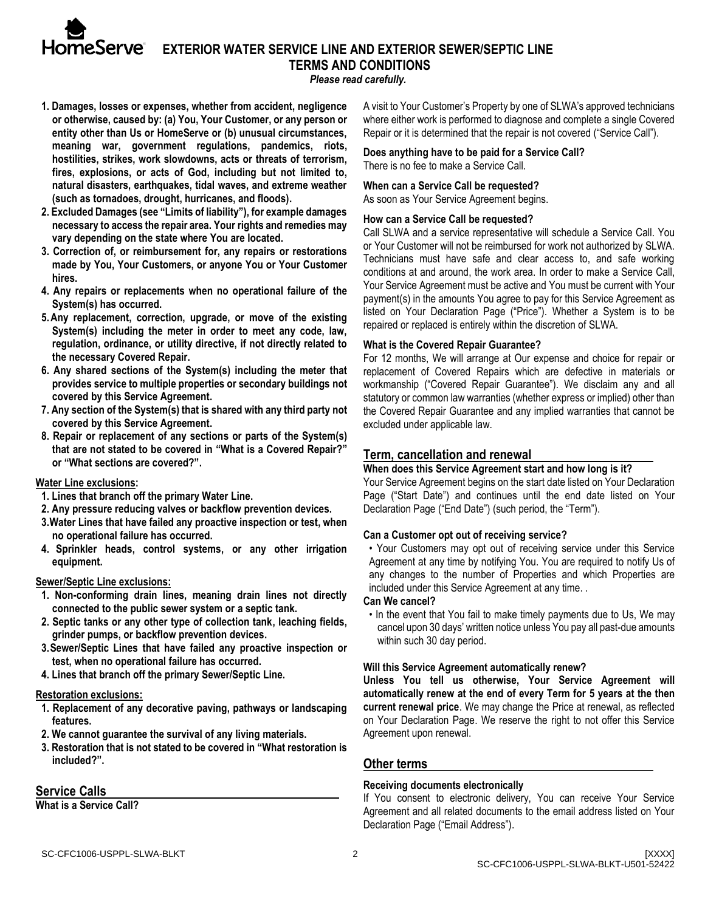

## **EXTERIOR WATER SERVICE LINE AND EXTERIOR SEWER/SEPTIC LINE TERMS AND CONDITIONS**

*Please read carefully.*

- **1. Damages, losses or expenses, whether from accident, negligence or otherwise, caused by: (a) You, Your Customer, or any person or entity other than Us or HomeServe or (b) unusual circumstances, meaning war, government regulations, pandemics, riots, hostilities, strikes, work slowdowns, acts or threats of terrorism, fires, explosions, or acts of God, including but not limited to, natural disasters, earthquakes, tidal waves, and extreme weather (such as tornadoes, drought, hurricanes, and floods).**
- **2. Excluded Damages (see "Limits of liability"), for example damages necessary to access the repair area. Your rights and remedies may vary depending on the state where You are located.**
- **3. Correction of, or reimbursement for, any repairs or restorations made by You, Your Customers, or anyone You or Your Customer hires.**
- **4. Any repairs or replacements when no operational failure of the System(s) has occurred.**
- **5.Any replacement, correction, upgrade, or move of the existing System(s) including the meter in order to meet any code, law, regulation, ordinance, or utility directive, if not directly related to the necessary Covered Repair.**
- **6. Any shared sections of the System(s) including the meter that provides service to multiple properties or secondary buildings not covered by this Service Agreement.**
- **7. Any section of the System(s) that is shared with any third party not covered by this Service Agreement.**
- **8. Repair or replacement of any sections or parts of the System(s) that are not stated to be covered in "What is a Covered Repair?" or "What sections are covered?".**

#### **Water Line exclusions:**

- **1. Lines that branch off the primary Water Line.**
- **2. Any pressure reducing valves or backflow prevention devices.**
- **3.Water Lines that have failed any proactive inspection or test, when no operational failure has occurred.**
- **4. Sprinkler heads, control systems, or any other irrigation equipment.**

#### **Sewer/Septic Line exclusions:**

- **1. Non-conforming drain lines, meaning drain lines not directly connected to the public sewer system or a septic tank.**
- **2. Septic tanks or any other type of collection tank, leaching fields, grinder pumps, or backflow prevention devices.**
- **3.Sewer/Septic Lines that have failed any proactive inspection or test, when no operational failure has occurred.**
- **4. Lines that branch off the primary Sewer/Septic Line.**

#### **Restoration exclusions:**

- **1. Replacement of any decorative paving, pathways or landscaping features.**
- **2. We cannot guarantee the survival of any living materials.**
- **3. Restoration that is not stated to be covered in "What restoration is included?".**

## **Service Calls**

**What is a Service Call?**

A visit to Your Customer's Property by one of SLWA's approved technicians where either work is performed to diagnose and complete a single Covered Repair or it is determined that the repair is not covered ("Service Call").

#### **Does anything have to be paid for a Service Call?** There is no fee to make a Service Call.

### **When can a Service Call be requested?**

As soon as Your Service Agreement begins.

#### **How can a Service Call be requested?**

Call SLWA and a service representative will schedule a Service Call. You or Your Customer will not be reimbursed for work not authorized by SLWA. Technicians must have safe and clear access to, and safe working conditions at and around, the work area. In order to make a Service Call, Your Service Agreement must be active and You must be current with Your payment(s) in the amounts You agree to pay for this Service Agreement as listed on Your Declaration Page ("Price"). Whether a System is to be repaired or replaced is entirely within the discretion of SLWA.

#### **What is the Covered Repair Guarantee?**

For 12 months, We will arrange at Our expense and choice for repair or replacement of Covered Repairs which are defective in materials or workmanship ("Covered Repair Guarantee"). We disclaim any and all statutory or common law warranties (whether express or implied) other than the Covered Repair Guarantee and any implied warranties that cannot be excluded under applicable law.

## **Term, cancellation and renewal**

#### **When does this Service Agreement start and how long is it?**

Your Service Agreement begins on the start date listed on Your Declaration Page ("Start Date") and continues until the end date listed on Your Declaration Page ("End Date") (such period, the "Term").

## **Can a Customer opt out of receiving service?**

• Your Customers may opt out of receiving service under this Service Agreement at any time by notifying You. You are required to notify Us of any changes to the number of Properties and which Properties are included under this Service Agreement at any time. .

#### **Can We cancel?**

• In the event that You fail to make timely payments due to Us, We may cancel upon 30 days' written notice unless You pay all past-due amounts within such 30 day period.

## **Will this Service Agreement automatically renew?**

**Unless You tell us otherwise, Your Service Agreement will automatically renew at the end of every Term for 5 years at the then current renewal price**. We may change the Price at renewal, as reflected on Your Declaration Page. We reserve the right to not offer this Service Agreement upon renewal.

## **Other terms**

## **Receiving documents electronically**

If You consent to electronic delivery, You can receive Your Service Agreement and all related documents to the email address listed on Your Declaration Page ("Email Address").